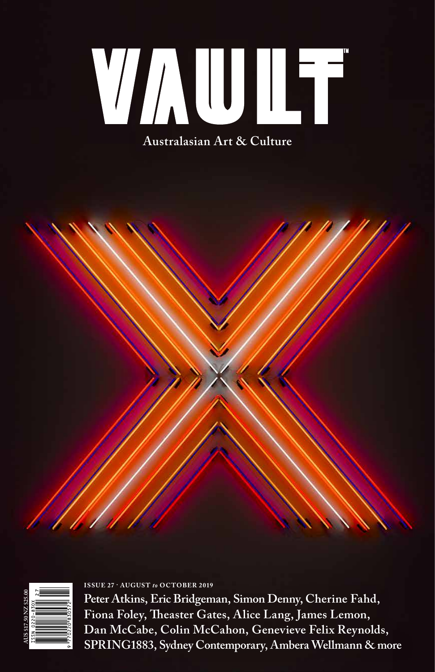WAUIFF

**Australasian Art & Culture**





**Peter Atkins, Eric Bridgeman, Simon Denny, Cherine Fahd, Fiona Foley, Theaster Gates, Alice Lang, James Lemon, Dan McCabe, Colin McCahon, Genevieve Felix Reynolds, SPRING1883, Sydney Contemporary, Ambera Wellmann & more** 

**ISSUE 27 · AUGUST** *to* **OCTOBER 2019**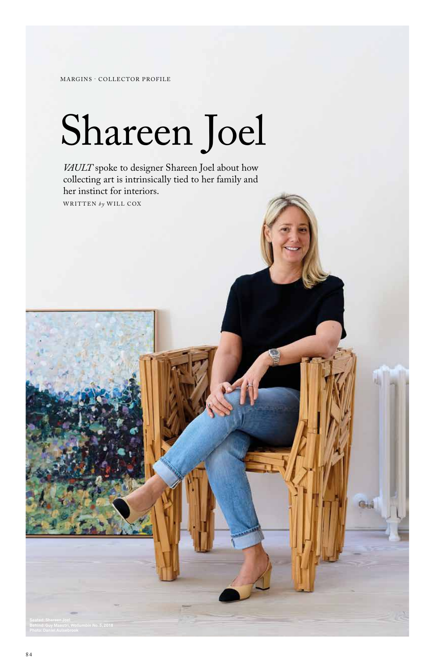MARGINS · COLLECTOR PROFILE

# Shareen Joel

*VAULT* spoke to designer Shareen Joel about how collecting art is intrinsically tied to her family and her instinct for interiors. WRITTEN *by* WILL COX

GH.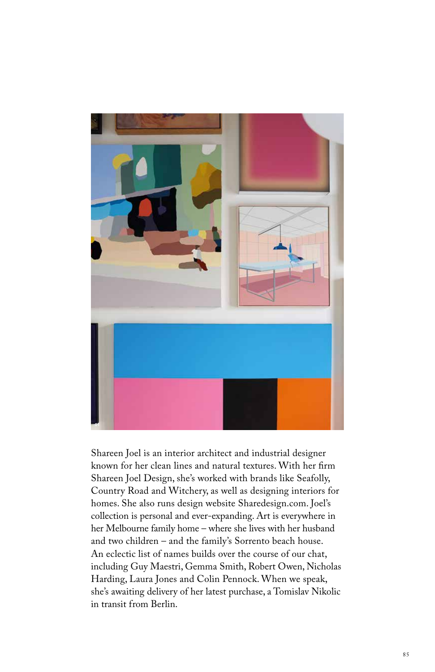

Shareen Joel is an interior architect and industrial designer known for her clean lines and natural textures. With her firm Shareen Joel Design, she's worked with brands like Seafolly, Country Road and Witchery, as well as designing interiors for homes. She also runs design website Sharedesign.com. Joel's collection is personal and ever-expanding. Art is everywhere in her Melbourne family home – where she lives with her husband and two children – and the family's Sorrento beach house. An eclectic list of names builds over the course of our chat, including Guy Maestri, Gemma Smith, Robert Owen, Nicholas Harding, Laura Jones and Colin Pennock. When we speak, she's awaiting delivery of her latest purchase, a Tomislav Nikolic in transit from Berlin.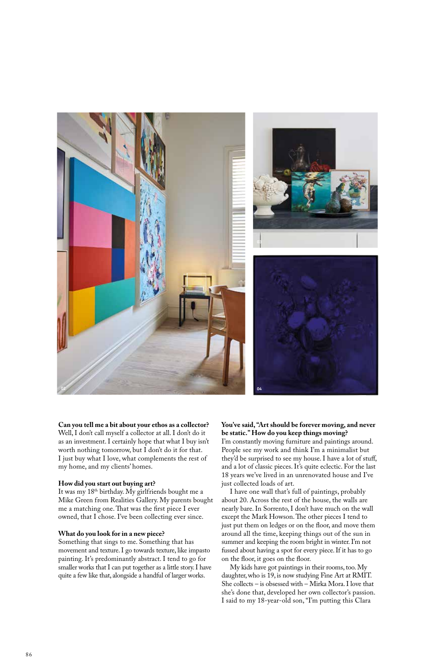

**Can you tell me a bit about your ethos as a collector?** Well, I don't call myself a collector at all. I don't do it as an investment. I certainly hope that what I buy isn't worth nothing tomorrow, but I don't do it for that. I just buy what I love, what complements the rest of my home, and my clients' homes.

## **How did you start out buying art?**

It was my 18th birthday. My girlfriends bought me a Mike Green from Realities Gallery. My parents bought me a matching one. That was the first piece I ever owned, that I chose. I've been collecting ever since.

# **What do you look for in a new piece?**

Something that sings to me. Something that has movement and texture. I go towards texture, like impasto painting. It's predominantly abstract. I tend to go for smaller works that I can put together as a little story. I have quite a few like that, alongside a handful of larger works.

# **You've said, "Art should be forever moving, and never be static." How do you keep things moving?** I'm constantly moving furniture and paintings around.

People see my work and think I'm a minimalist but they'd be surprised to see my house. I have a lot of stuff, and a lot of classic pieces. It's quite eclectic. For the last 18 years we've lived in an unrenovated house and I've just collected loads of art.

I have one wall that's full of paintings, probably about 20. Across the rest of the house, the walls are nearly bare. In Sorrento, I don't have much on the wall except the Mark Howson. The other pieces I tend to just put them on ledges or on the floor, and move them around all the time, keeping things out of the sun in summer and keeping the room bright in winter. I'm not fussed about having a spot for every piece. If it has to go on the floor, it goes on the floor.

My kids have got paintings in their rooms, too. My daughter, who is 19, is now studying Fine Art at RMIT. She collects – is obsessed with – Mirka Mora. I love that she's done that, developed her own collector's passion. I said to my 18-year-old son, "I'm putting this Clara